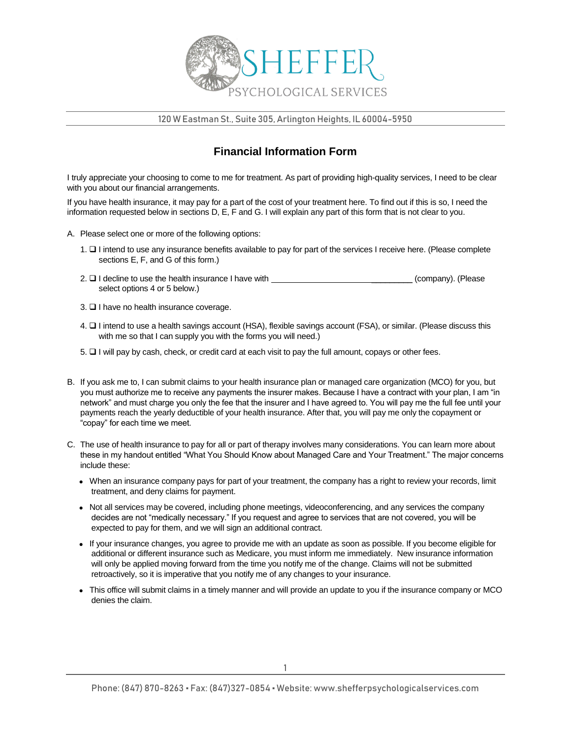

120 W Eastman St., Suite 305, Arlington Heights, IL 60004-5950

## **Financial Information Form**

I truly appreciate your choosing to come to me for treatment. As part of providing high-quality services, I need to be clear with you about our financial arrangements.

If you have health insurance, it may pay for a part of the cost of your treatment here. To find out if this is so, I need the information requested below in sections D, E, F and G. I will explain any part of this form that is not clear to you.

- A. Please select one or more of the following options:
	- 1. I intend to use any insurance benefits available to pay for part of the services I receive here. (Please complete sections E, F, and G of this form.)
	- $2. \Box$  I decline to use the health insurance I have with  $(company)$ . (Please select options 4 or 5 below.)
	- $3. \Box$  I have no health insurance coverage.
	- 4. I intend to use a health savings account (HSA), flexible savings account (FSA), or similar. (Please discuss this with me so that I can supply you with the forms you will need.)
	- 5. I will pay by cash, check, or credit card at each visit to pay the full amount, copays or other fees.
- B. If you ask me to, I can submit claims to your health insurance plan or managed care organization (MCO) for you, but you must authorize me to receive any payments the insurer makes. Because I have a contract with your plan, I am "in network" and must charge you only the fee that the insurer and I have agreed to. You will pay me the full fee until your payments reach the yearly deductible of your health insurance. After that, you will pay me only the copayment or "copay" for each time we meet.
- C. The use of health insurance to pay for all or part of therapy involves many considerations. You can learn more about these in my handout entitled "What You Should Know about Managed Care and Your Treatment." The major concerns include these:
	- When an insurance company pays for part of your treatment, the company has a right to review your records, limit treatment, and deny claims for payment.
	- Not all services may be covered, including phone meetings, videoconferencing, and any services the company decides are not "medically necessary." If you request and agree to services that are not covered, you will be expected to pay for them, and we will sign an additional contract.
	- If your insurance changes, you agree to provide me with an update as soon as possible. If you become eligible for additional or different insurance such as Medicare, you must inform me immediately. New insurance information will only be applied moving forward from the time you notify me of the change. Claims will not be submitted retroactively, so it is imperative that you notify me of any changes to your insurance.
	- This office will submit claims in a timely manner and will provide an update to you if the insurance company or MCO denies the claim.